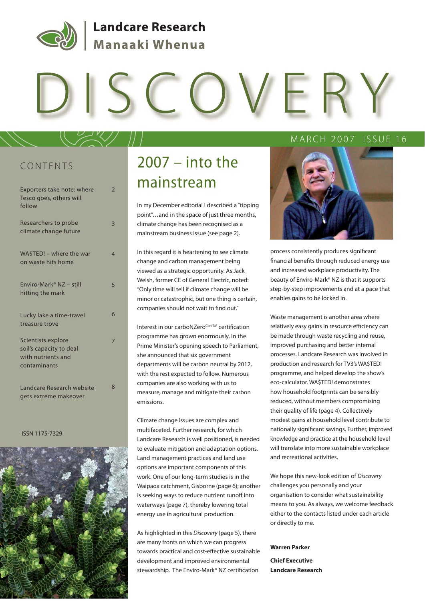

## **Landcare Research** Manaaki Whenua

# DISCOVERY

## CONTENTS

| Exporters take note: where<br>Tesco goes, others will<br>follow                     | $\overline{2}$ |
|-------------------------------------------------------------------------------------|----------------|
| Researchers to probe<br>climate change future                                       | 3              |
| WASTED! - where the war<br>on waste hits home                                       | $\overline{4}$ |
| Enviro-Mark <sup>®</sup> NZ - still<br>hitting the mark                             | 5              |
| Lucky lake a time-travel<br>treasure trove                                          | 6              |
| Scientists explore<br>soil's capacity to deal<br>with nutrients and<br>contaminants | 7              |
| Landcare Research website<br>gets extreme makeover                                  | 8              |

#### ISSN 1175-7329



## 2007 – into the mainstream

In my December editorial I described a "tipping point"…and in the space of just three months, climate change has been recognised as a mainstream business issue (see page 2).

In this regard it is heartening to see climate change and carbon management being viewed as a strategic opportunity. As Jack Welsh, former CE of General Electric, noted: "Only time will tell if climate change will be minor or catastrophic, but one thing is certain, companies should not wait to find out."

Interest in our carboNZero<sup>Cert™</sup> certification programme has grown enormously. In the Prime Minister's opening speech to Parliament, she announced that six government departments will be carbon neutral by 2012, with the rest expected to follow. Numerous companies are also working with us to measure, manage and mitigate their carbon emissions.

Climate change issues are complex and multifaceted. Further research, for which Landcare Research is well positioned, is needed to evaluate mitigation and adaptation options. Land management practices and land use options are important components of this work. One of our long-term studies is in the Waipaoa catchment, Gisborne (page 6); another is seeking ways to reduce nutrient runoff into waterways (page 7), thereby lowering total energy use in agricultural production.

As highlighted in this Discovery (page 5), there are many fronts on which we can progress towards practical and cost-effective sustainable development and improved environmental stewardship. The Enviro-Mark® NZ certification

MARCH 2007 ISSUE 16

process consistently produces significant financial benefits through reduced energy use and increased workplace productivity. The beauty of Enviro-Mark® NZ is that it supports step-by-step improvements and at a pace that enables gains to be locked in.

Waste management is another area where relatively easy gains in resource efficiency can be made through waste recycling and reuse, improved purchasing and better internal processes. Landcare Research was involved in production and research for TV3's WA\$TED! programme, and helped develop the show's eco-calculator. WA\$TED! demonstrates how household footprints can be sensibly reduced, without members compromising their quality of life (page 4). Collectively modest gains at household level contribute to nationally significant savings. Further, improved knowledge and practice at the household level will translate into more sustainable workplace and recreational activities.

We hope this new-look edition of Discovery challenges you personally and your organisation to consider what sustainability means to you. As always, we welcome feedback either to the contacts listed under each article or directly to me.

#### **Warren Parker**

**Chief Executive Landcare Research**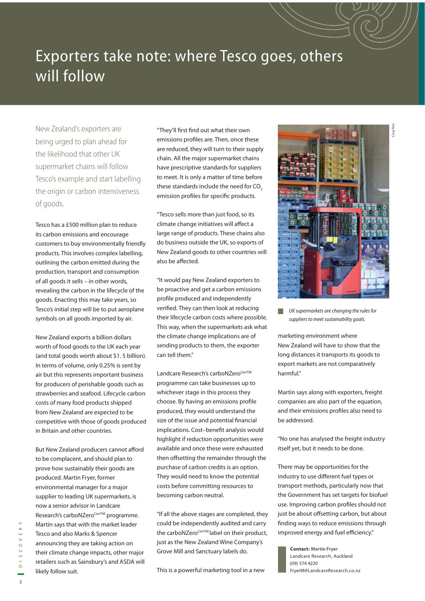## Exporters take note: where Tesco goes, others will follow

New Zealand's exporters are being urged to plan ahead for the likelihood that other UK supermarket chains will follow Tesco's example and start labelling the origin or carbon intensiveness of goods.

Tesco has a £500 million plan to reduce its carbon emissions and encourage customers to buy environmentally friendly products. This involves complex labelling, outlining the carbon emitted during the production, transport and consumption of all goods it sells – in other words, revealing the carbon in the lifecycle of the goods. Enacting this may take years, so Tesco's initial step will be to put aeroplane symbols on all goods imported by air.

New Zealand exports a billion dollars worth of food goods to the UK each year (and total goods worth about \$1. 5 billion). In terms of volume, only 0.25% is sent by air but this represents important business for producers of perishable goods such as strawberries and seafood. Lifecycle carbon costs of many food products shipped from New Zealand are expected to be competitive with those of goods produced in Britain and other countries.

But New Zealand producers cannot afford to be complacent, and should plan to prove how sustainably their goods are produced. Martin Fryer, former environmental manager for a major supplier to leading UK supermarkets, is now a senior advisor in Landcare Research's carboNZero<sup>Cert™</sup> programme. Martin says that with the market leader Tesco and also Marks & Spencer announcing they are taking action on their climate change impacts, other major retailers such as Sainsbury's and ASDA will likely follow suit.

"They'll first find out what their own emissions profiles are. Then, once these are reduced, they will turn to their supply chain. All the major supermarket chains have prescriptive standards for suppliers to meet. It is only a matter of time before these standards include the need for CO<sub>2</sub> emission profiles for specific products.

"Tesco sells more than just food, so its climate change initiatives will affect a large range of products. These chains also do business outside the UK, so exports of New Zealand goods to other countries will also be affected.

"It would pay New Zealand exporters to be proactive and get a carbon emissions profile produced and independently verified. They can then look at reducing their lifecycle carbon costs where possible. This way, when the supermarkets ask what the climate change implications are of sending products to them, the exporter can tell them."

Landcare Research's carboNZero<sup>CertTM</sup> programme can take businesses up to whichever stage in this process they choose. By having an emissions profile produced, they would understand the size of the issue and potential financial implications. Cost-benefit analysis would highlight if reduction opportunities were available and once these were exhausted then offsetting the remainder through the purchase of carbon credits is an option. They would need to know the potential costs before committing resources to becoming carbon neutral.

"If all the above stages are completed, they could be independently audited and carry the carboNZero<sup>Cert™</sup> label on their product, just as the New Zealand Wine Company's Grove Mill and Sanctuary labels do.

This is a powerful marketing tool in a new



UK supermarkets are changing the rules for suppliers to meet sustainability goals.

marketing environment where New Zealand will have to show that the long distances it transports its goods to export markets are not comparatively harmful."

Martin says along with exporters, freight companies are also part of the equation, and their emissions profiles also need to be addressed.

"No one has analysed the freight industry itself yet, but it needs to be done.

There may be opportunities for the industry to use different fuel types or transport methods, particularly now that the Government has set targets for biofuel use. Improving carbon profiles should not just be about offsetting carbon, but about finding ways to reduce emissions through improved energy and fuel efficiency."

**Contact: Martin Fryer** Landcare Research, Auckland (09) 574 4220 FryerM@LandcareResearch.co.nz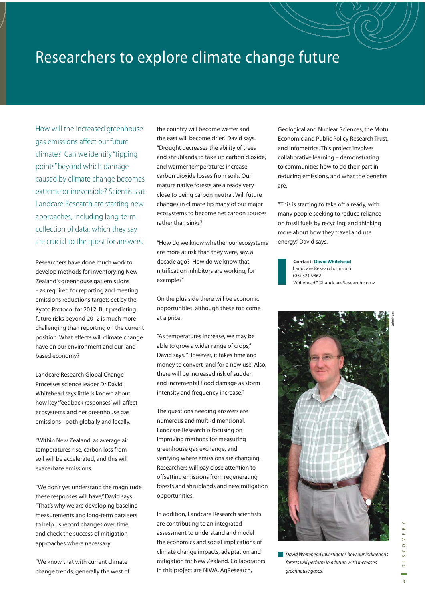## Researchers to explore climate change future

How will the increased greenhouse gas emissions affect our future climate? Can we identify "tipping points" beyond which damage caused by climate change becomes extreme or irreversible? Scientists at Landcare Research are starting new approaches, including long-term collection of data, which they say are crucial to the quest for answers.

Researchers have done much work to develop methods for inventorying New Zealand's greenhouse gas emissions – as required for reporting and meeting emissions reductions targets set by the Kyoto Protocol for 2012. But predicting future risks beyond 2012 is much more challenging than reporting on the current position. What effects will climate change have on our environment and our landbased economy?

Landcare Research Global Change Processes science leader Dr David Whitehead says little is known about how key 'feedback responses' will affect ecosystems and net greenhouse gas emissions– both globally and locally.

"Within New Zealand, as average air temperatures rise, carbon loss from soil will be accelerated, and this will exacerbate emissions.

"We don't yet understand the magnitude these responses will have," David says. "That's why we are developing baseline measurements and long-term data sets to help us record changes over time, and check the success of mitigation approaches where necessary.

"We know that with current climate change trends, generally the west of the country will become wetter and the east will become drier," David says. "Drought decreases the ability of trees and shrublands to take up carbon dioxide, and warmer temperatures increase carbon dioxide losses from soils. Our mature native forests are already very close to being carbon neutral. Will future changes in climate tip many of our major ecosystems to become net carbon sources rather than sinks?

"How do we know whether our ecosystems are more at risk than they were, say, a decade ago? How do we know that nitrification inhibitors are working, for example?"

On the plus side there will be economic opportunities, although these too come at a price.

"As temperatures increase, we may be able to grow a wider range of crops," David says. "However, it takes time and money to convert land for a new use. Also, there will be increased risk of sudden and incremental flood damage as storm intensity and frequency increase."

The questions needing answers are numerous and multi-dimensional. Landcare Research is focusing on improving methods for measuring greenhouse gas exchange, and verifying where emissions are changing. Researchers will pay close attention to offsetting emissions from regenerating forests and shrublands and new mitigation opportunities.

In addition, Landcare Research scientists are contributing to an integrated assessment to understand and model the economics and social implications of climate change impacts, adaptation and mitigation for New Zealand. Collaborators in this project are NIWA, AgResearch,

Geological and Nuclear Sciences, the Motu Economic and Public Policy Research Trust, and Infometrics. This project involves collaborative learning – demonstrating to communities how to do their part in reducing emissions, and what the benefits are.

"This is starting to take off already, with many people seeking to reduce reliance on fossil fuels by recycling, and thinking more about how they travel and use energy," David says.

> **Contact: David Whitehead** Landcare Research, Lincoln (03) 321 9862 WhiteheadD@LandcareResearch.co.nz



**David Whitehead investigates how our indigenous** forests will perform in a future with increased greenhouse gases.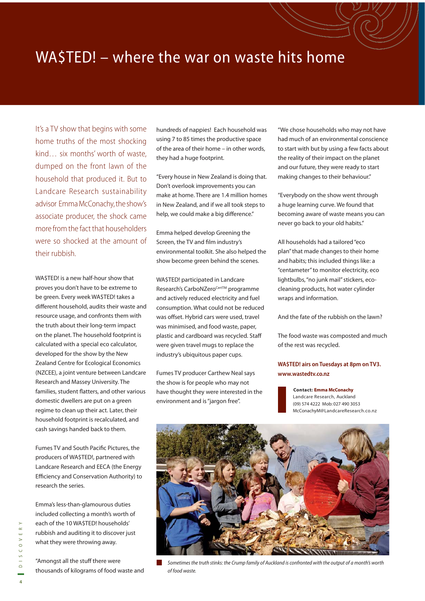## WA\$TED! – where the war on waste hits home

It's a TV show that begins with some home truths of the most shocking kind… six months' worth of waste, dumped on the front lawn of the household that produced it. But to Landcare Research sustainability advisor Emma McConachy, the show's associate producer, the shock came more from the fact that householders were so shocked at the amount of their rubbish.

WA\$TED! is a new half-hour show that proves you don't have to be extreme to be green. Every week WA\$TED! takes a different household, audits their waste and resource usage, and confronts them with the truth about their long-term impact on the planet. The household footprint is calculated with a special eco calculator, developed for the show by the New Zealand Centre for Ecological Economics (NZCEE), a joint venture between Landcare Research and Massey University. The families, student flatters, and other various domestic dwellers are put on a green regime to clean up their act. Later, their household footprint is recalculated, and cash savings handed back to them.

Fumes TV and South Pacific Pictures, the producers of WA\$TED!, partnered with Landcare Research and EECA (the Energy Efficiency and Conservation Authority) to research the series.

Emma's less-than-glamourous duties included collecting a month's worth of each of the 10 WA\$TED! households' rubbish and auditing it to discover just what they were throwing away.

"Amongst all the stuff there were thousands of kilograms of food waste and hundreds of nappies! Each household was using 7 to 85 times the productive space of the area of their home – in other words, they had a huge footprint.

"Every house in New Zealand is doing that. Don't overlook improvements you can make at home. There are 1.4 million homes in New Zealand, and if we all took steps to help, we could make a big difference."

Emma helped develop Greening the Screen, the TV and film industry's environmental toolkit. She also helped the show become green behind the scenes.

WA\$TED! participated in Landcare Research's CarboNZero<sup>CertTM</sup> programme and actively reduced electricity and fuel consumption. What could not be reduced was offset. Hybrid cars were used, travel was minimised, and food waste, paper, plastic and cardboard was recycled. Staff were given travel mugs to replace the industry's ubiquitous paper cups.

Fumes TV producer Carthew Neal says the show is for people who may not have thought they were interested in the environment and is "jargon free".

"We chose households who may not have had much of an environmental conscience to start with but by using a few facts about the reality of their impact on the planet and our future, they were ready to start making changes to their behaviour."

"Everybody on the show went through a huge learning curve. We found that becoming aware of waste means you can never go back to your old habits."

All households had a tailored "eco plan" that made changes to their home and habits; this included things like: a "centameter" to monitor electricity, eco lightbulbs, "no junk mail" stickers, ecocleaning products, hot water cylinder wraps and information.

And the fate of the rubbish on the lawn?

The food waste was composted and much of the rest was recycled.

### **WA\$TED! airs on Tuesdays at 8pm on TV3. www.wastedtv.co.nz**

**Contact: Emma McConachy** Landcare Research, Auckland (09) 574 4222 Mob: 027 490 3053 McConachyM@LandcareResearch.co.nz



Sometimes the truth stinks: the Crump family of Auckland is confronted with the output of a month's worth of food waste.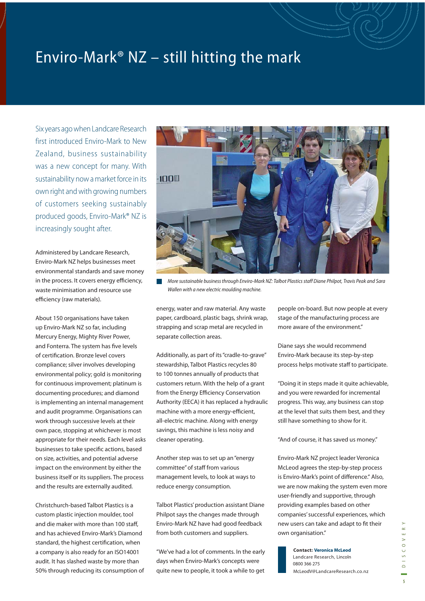## Enviro-Mark<sup>®</sup> NZ – still hitting the mark

Six years ago when Landcare Research first introduced Enviro-Mark to New Zealand, business sustainability was a new concept for many. With sustainability now a market force in its own right and with growing numbers of customers seeking sustainably produced goods, Enviro-Mark® NZ is increasingly sought after.

Administered by Landcare Research, Enviro-Mark NZ helps businesses meet environmental standards and save money in the process. It covers energy efficiency, waste minimisation and resource use efficiency (raw materials).

About 150 organisations have taken up Enviro-Mark NZ so far, including Mercury Energy, Mighty River Power, and Fonterra. The system has five levels of certification. Bronze level covers compliance; silver involves developing environmental policy; gold is monitoring for continuous improvement; platinum is documenting procedures; and diamond is implementing an internal management and audit programme. Organisations can work through successive levels at their own pace, stopping at whichever is most appropriate for their needs. Each level asks businesses to take specific actions, based on size, activities, and potential adverse impact on the environment by either the business itself or its suppliers. The process and the results are externally audited.

Christchurch-based Talbot Plastics is a custom plastic injection moulder, tool and die maker with more than 100 staff. and has achieved Enviro-Mark's Diamond standard, the highest certification, when a company is also ready for an ISO14001 audit. It has slashed waste by more than 50% through reducing its consumption of



More sustainable business through Enviro-Mark NZ: Talbot Plastics staff Diane Philpot, Travis Peak and Sara Wallen with a new electric moulding machine.

energy, water and raw material. Any waste paper, cardboard, plastic bags, shrink wrap, strapping and scrap metal are recycled in separate collection areas.

Additionally, as part of its "cradle-to-grave" stewardship, Talbot Plastics recycles 80 to 100 tonnes annually of products that customers return. With the help of a grant from the Energy Efficiency Conservation Authority (EECA) it has replaced a hydraulic machine with a more energy-efficient, all-electric machine. Along with energy savings, this machine is less noisy and cleaner operating.

Another step was to set up an "energy committee" of staff from various management levels, to look at ways to reduce energy consumption.

Talbot Plastics' production assistant Diane Philpot says the changes made through Enviro-Mark NZ have had good feedback from both customers and suppliers.

"We've had a lot of comments. In the early days when Enviro-Mark's concepts were quite new to people, it took a while to get

people on-board. But now people at every stage of the manufacturing process are more aware of the environment."

Diane says she would recommend Enviro-Mark because its step-by-step process helps motivate staff to participate.

"Doing it in steps made it quite achievable, and you were rewarded for incremental progress. This way, any business can stop at the level that suits them best, and they still have something to show for it.

"And of course, it has saved us money."

Enviro-Mark NZ project leader Veronica McLeod agrees the step-by-step process is Enviro-Mark's point of difference." Also, we are now making the system even more user-friendly and supportive, through providing examples based on other companies' successful experiences, which new users can take and adapt to fit their own organisation."

**Contact: Veronica McLeod** Landcare Research, Lincoln 0800 366 275 McLeodV@LandcareResearch.co.nz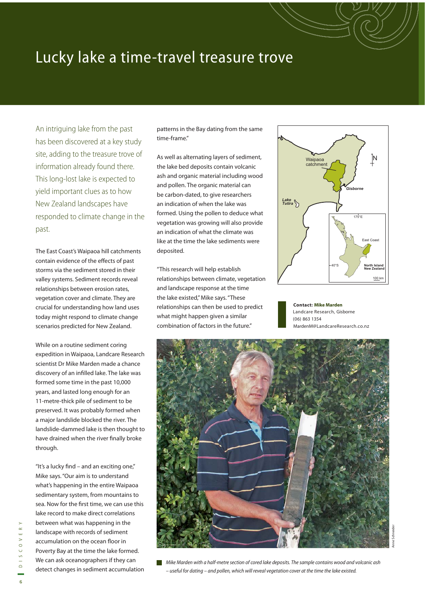## Lucky lake a time-travel treasure trove

An intriguing lake from the past has been discovered at a key study site, adding to the treasure trove of information already found there. This long-lost lake is expected to yield important clues as to how New Zealand landscapes have responded to climate change in the past.

The East Coast's Waipaoa hill catchments contain evidence of the effects of past storms via the sediment stored in their valley systems. Sediment records reveal relationships between erosion rates, vegetation cover and climate. They are crucial for understanding how land uses today might respond to climate change scenarios predicted for New Zealand.

While on a routine sediment coring expedition in Waipaoa, Landcare Research scientist Dr Mike Marden made a chance discovery of an infilled lake. The lake was formed some time in the past 10,000 years, and lasted long enough for an 11-metre-thick pile of sediment to be preserved. It was probably formed when a major landslide blocked the river. The landslide-dammed lake is then thought to have drained when the river finally broke through.

"It's a lucky find – and an exciting one," Mike says. "Our aim is to understand what's happening in the entire Waipaoa sedimentary system, from mountains to sea. Now for the first time, we can use this lake record to make direct correlations between what was happening in the landscape with records of sediment accumulation on the ocean floor in Poverty Bay at the time the lake formed. We can ask oceanographers if they can detect changes in sediment accumulation patterns in the Bay dating from the same time-frame."

As well as alternating layers of sediment, the lake bed deposits contain volcanic ash and organic material including wood and pollen. The organic material can be carbon-dated, to give researchers an indication of when the lake was formed. Using the pollen to deduce what vegetation was growing will also provide an indication of what the climate was like at the time the lake sediments were deposited.

"This research will help establish relationships between climate, vegetation and landscape response at the time the lake existed," Mike says. "These relationships can then be used to predict what might happen given a similar combination of factors in the future."



**Contact: Mike Marden** Landcare Research, Gisborne (06) 863 1354 MardenM@LandcareResearch.co.nz



Mike Marden with a half-metre section of cored lake deposits. The sample contains wood and volcanic ash – useful for dating – and pollen, which will reveal vegetation cover at the time the lake existed.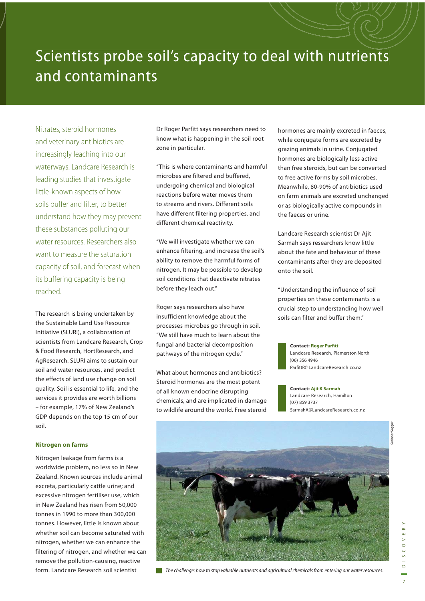## Scientists probe soil's capacity to deal with nutrients and contaminants

Nitrates, steroid hormones and veterinary antibiotics are increasingly leaching into our waterways. Landcare Research is leading studies that investigate little-known aspects of how soils buffer and filter, to better understand how they may prevent these substances polluting our water resources. Researchers also want to measure the saturation capacity of soil, and forecast when its buffering capacity is being reached.

The research is being undertaken by the Sustainable Land Use Resource Initiative (SLURI), a collaboration of scientists from Landcare Research, Crop & Food Research, HortResearch, and AgResearch. SLURI aims to sustain our soil and water resources, and predict the effects of land use change on soil quality. Soil is essential to life, and the services it provides are worth billions – for example, 17% of New Zealand's GDP depends on the top 15 cm of our soil.

#### **Nitrogen on farms**

Nitrogen leakage from farms is a worldwide problem, no less so in New Zealand. Known sources include animal excreta, particularly cattle urine; and excessive nitrogen fertiliser use, which in New Zealand has risen from 50,000 tonnes in 1990 to more than 300,000 tonnes. However, little is known about whether soil can become saturated with nitrogen, whether we can enhance the filtering of nitrogen, and whether we can remove the pollution-causing, reactive form. Landcare Research soil scientist

Dr Roger Parfitt says researchers need to know what is happening in the soil root zone in particular.

"This is where contaminants and harmful microbes are filtered and buffered, undergoing chemical and biological reactions before water moves them to streams and rivers. Different soils have different filtering properties, and different chemical reactivity.

"We will investigate whether we can enhance filtering, and increase the soil's ability to remove the harmful forms of nitrogen. It may be possible to develop soil conditions that deactivate nitrates before they leach out."

Roger says researchers also have insufficient knowledge about the processes microbes go through in soil. "We still have much to learn about the fungal and bacterial decomposition pathways of the nitrogen cycle."

What about hormones and antibiotics? Steroid hormones are the most potent of all known endocrine disrupting chemicals, and are implicated in damage to wildlife around the world. Free steroid hormones are mainly excreted in faeces, while conjugate forms are excreted by grazing animals in urine. Conjugated hormones are biologically less active than free steroids, but can be converted to free active forms by soil microbes. Meanwhile, 80-90% of antibiotics used on farm animals are excreted unchanged or as biologically active compounds in the faeces or urine.

Landcare Research scientist Dr Ajit Sarmah says researchers know little about the fate and behaviour of these contaminants after they are deposited onto the soil.

"Understanding the influence of soil properties on these contaminants is a crucial step to understanding how well soils can filter and buffer them."

#### **Contact: Roger Parfitt**

Landcare Research, Plamerston North (06) 356 4946 ParfittR@LandcareResearch.co.nz

**Contact: Ajit K Sarmah** Landcare Research, Hamilton (07) 859 3737 SarmahA@LandcareResearch.co.nz



The challenge: how to stop valuable nutrients and agricultural chemicals from entering our water resources.

 $D$  | S C O V E R